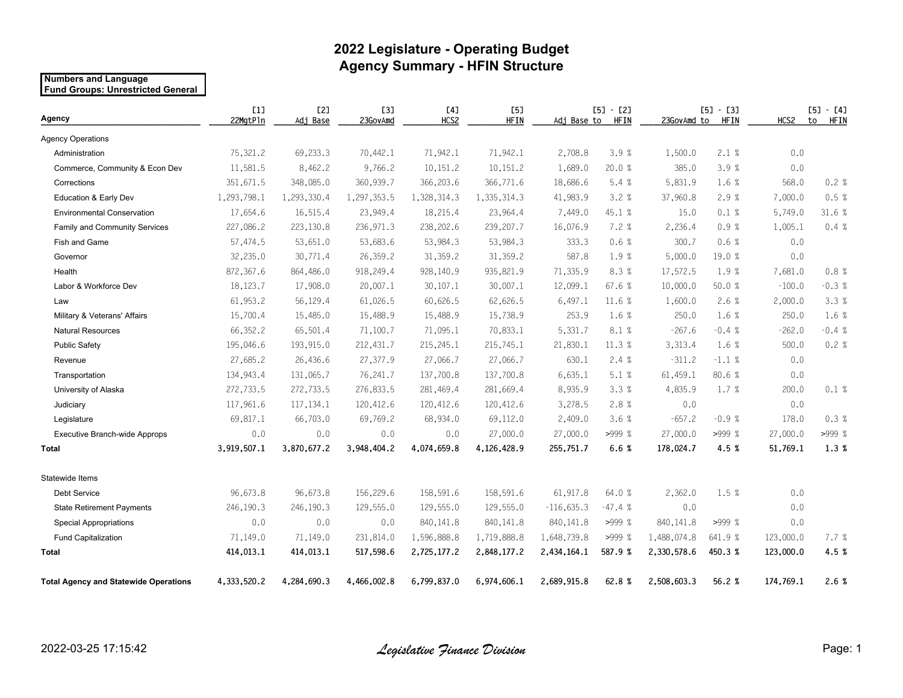## **2022 Legislature - Operating Budget Agency Summary - HFIN Structure**

#### **Numbers and Language Fund Groups: Unrestricted General**

| Agency                                       | [1]<br>22MgtPln | [2]<br>Adj Base | <b>[3]</b><br>23GovAmd | [4]<br>HCS2 | <b>[5]</b><br><b>HFIN</b> | $[5] - [2]$<br><b>HFIN</b><br>Adj Base to |          | $[5] - [3]$<br><b>HFIN</b><br>23GovAmd to |         | HCS2      | $[5] - [4]$<br>to<br>HFIN |
|----------------------------------------------|-----------------|-----------------|------------------------|-------------|---------------------------|-------------------------------------------|----------|-------------------------------------------|---------|-----------|---------------------------|
| <b>Agency Operations</b>                     |                 |                 |                        |             |                           |                                           |          |                                           |         |           |                           |
| Administration                               | 75,321.2        | 69,233.3        | 70,442.1               | 71,942.1    | 71.942.1                  | 2,708.8                                   | 3.9%     | 1,500.0                                   | 2.1%    | 0.0       |                           |
| Commerce, Community & Econ Dev               | 11,581.5        | 8,462.2         | 9,766.2                | 10,151.2    | 10,151.2                  | 1,689.0                                   | 20.0 %   | 385.0                                     | 3.9%    | 0.0       |                           |
| Corrections                                  | 351,671.5       | 348,085.0       | 360,939.7              | 366,203.6   | 366,771.6                 | 18,686.6                                  | 5.4%     | 5,831.9                                   | 1.6 %   | 568.0     | 0.2%                      |
| Education & Early Dev                        | 1,293,798.1     | 1,293,330.4     | 1,297,353.5            | 1,328,314.3 | 1,335,314.3               | 41,983.9                                  | 3.2%     | 37,960.8                                  | 2.9%    | 7,000.0   | 0.5%                      |
| <b>Environmental Conservation</b>            | 17,654.6        | 16,515.4        | 23,949.4               | 18,215.4    | 23,964.4                  | 7,449.0                                   | 45.1 %   | 15.0                                      | 0.1%    | 5,749.0   | 31.6 %                    |
| Family and Community Services                | 227,086.2       | 223,130.8       | 236,971.3              | 238,202.6   | 239,207.7                 | 16,076.9                                  | 7.2%     | 2,236.4                                   | 0.9%    | 1,005.1   | 0.4%                      |
| Fish and Game                                | 57,474.5        | 53,651.0        | 53,683.6               | 53,984.3    | 53,984.3                  | 333.3                                     | 0.6%     | 300.7                                     | 0.6%    | 0.0       |                           |
| Governor                                     | 32,235.0        | 30,771.4        | 26,359.2               | 31,359.2    | 31,359.2                  | 587.8                                     | 1.9%     | 5,000.0                                   | 19.0 %  | 0.0       |                           |
| Health                                       | 872, 367.6      | 864,486.0       | 918,249.4              | 928,140.9   | 935,821.9                 | 71,335.9                                  | 8.3%     | 17,572.5                                  | 1.9 %   | 7,681.0   | 0.8%                      |
| Labor & Workforce Dev                        | 18,123.7        | 17,908.0        | 20,007.1               | 30, 107.1   | 30,007.1                  | 12,099.1                                  | 67.6%    | 10,000.0                                  | 50.0%   | $-100.0$  | $-0.3%$                   |
| Law                                          | 61,953.2        | 56,129.4        | 61,026.5               | 60,626.5    | 62,626.5                  | 6,497.1                                   | 11.6 %   | 1,600.0                                   | 2.6%    | 2,000.0   | 3.3%                      |
| Military & Veterans' Affairs                 | 15,700.4        | 15,485.0        | 15,488.9               | 15,488.9    | 15,738.9                  | 253.9                                     | 1.6 %    | 250.0                                     | 1.6 %   | 250.0     | 1.6 %                     |
| <b>Natural Resources</b>                     | 66,352.2        | 65,501.4        | 71,100.7               | 71,095.1    | 70,833.1                  | 5,331.7                                   | 8.1 %    | $-267.6$                                  | $-0.4%$ | $-262.0$  | $-0.4%$                   |
| <b>Public Safety</b>                         | 195,046.6       | 193,915.0       | 212,431.7              | 215, 245.1  | 215,745.1                 | 21,830.1                                  | 11.3 %   | 3,313.4                                   | 1.6 %   | 500.0     | 0.2%                      |
| Revenue                                      | 27,685.2        | 26,436.6        | 27,377.9               | 27,066.7    | 27,066.7                  | 630.1                                     | 2.4%     | $-311.2$                                  | $-1.1%$ | 0.0       |                           |
| Transportation                               | 134,943.4       | 131,065.7       | 76,241.7               | 137,700.8   | 137,700.8                 | 6,635.1                                   | 5.1%     | 61,459.1                                  | 80.6 %  | 0.0       |                           |
| University of Alaska                         | 272,733.5       | 272,733.5       | 276,833.5              | 281,469.4   | 281,669.4                 | 8,935.9                                   | 3.3%     | 4,835.9                                   | 1.7 %   | 200.0     | 0.1%                      |
| Judiciary                                    | 117,961.6       | 117, 134. 1     | 120,412.6              | 120,412.6   | 120,412.6                 | 3,278.5                                   | 2.8%     | 0.0                                       |         | 0.0       |                           |
| Legislature                                  | 69,817.1        | 66,703.0        | 69,769.2               | 68,934.0    | 69,112.0                  | 2,409.0                                   | 3.6 %    | $-657.2$                                  | $-0.9%$ | 178.0     | 0.3%                      |
| Executive Branch-wide Approps                | 0.0             | 0.0             | 0.0                    | 0.0         | 27,000.0                  | 27,000.0                                  | >999 %   | 27,000.0                                  | >999 %  | 27,000.0  | >999 %                    |
| <b>Total</b>                                 | 3,919,507.1     | 3,870,677.2     | 3,948,404.2            | 4,074,659.8 | 4,126,428.9               | 255,751.7                                 | 6.6%     | 178,024.7                                 | 4.5%    | 51,769.1  | 1.3%                      |
| Statewide Items                              |                 |                 |                        |             |                           |                                           |          |                                           |         |           |                           |
| Debt Service                                 | 96,673.8        | 96,673.8        | 156,229.6              | 158,591.6   | 158,591.6                 | 61,917.8                                  | 64.0 %   | 2,362.0                                   | 1.5 %   | 0.0       |                           |
| <b>State Retirement Payments</b>             | 246,190.3       | 246,190.3       | 129,555.0              | 129,555.0   | 129,555.0                 | $-116,635.3$                              | $-47.4%$ | 0.0                                       |         | 0.0       |                           |
| <b>Special Appropriations</b>                | 0.0             | 0.0             | 0.0                    | 840, 141.8  | 840, 141.8                | 840, 141.8                                | >999%    | 840, 141.8                                | >999%   | 0.0       |                           |
| Fund Capitalization                          | 71,149.0        | 71,149.0        | 231,814.0              | 1,596,888.8 | 1,719,888.8               | 1,648,739.8                               | >999%    | 1,488,074.8                               | 641.9 % | 123,000.0 | 7.7 %                     |
| <b>Total</b>                                 | 414,013.1       | 414,013.1       | 517,598.6              | 2,725,177.2 | 2,848,177.2               | 2,434,164.1                               | 587.9%   | 2,330,578.6                               | 450.3%  | 123,000.0 | 4.5%                      |
| <b>Total Agency and Statewide Operations</b> | 4,333,520.2     | 4,284,690.3     | 4,466,002.8            | 6,799,837.0 | 6,974,606.1               | 2,689,915.8                               | 62.8%    | 2,508,603.3                               | 56.2%   | 174,769.1 | 2.6%                      |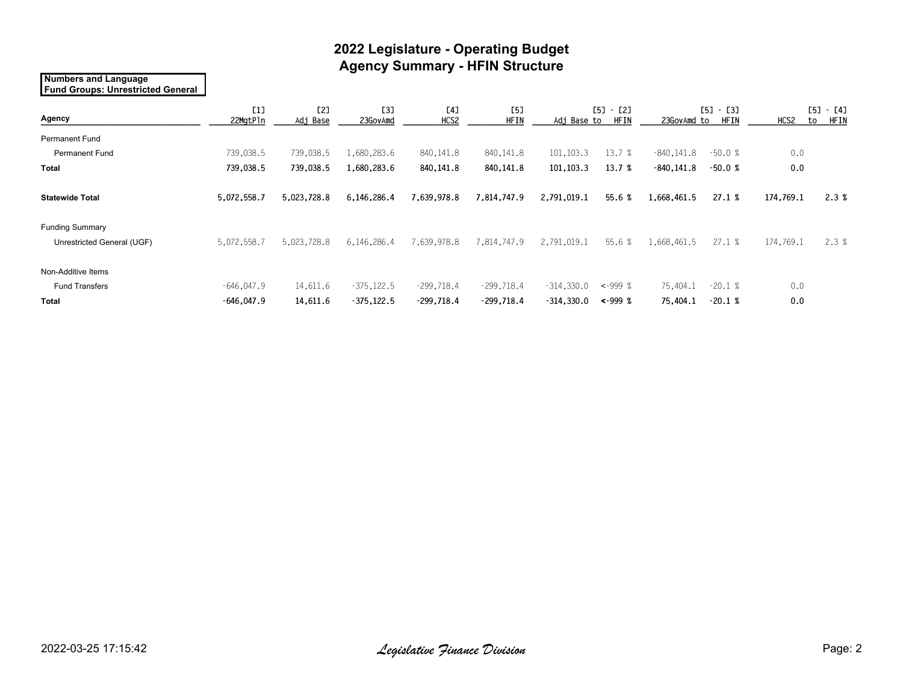## **2022 Legislature - Operating Budget Agency Summary - HFIN Structure**

#### **Numbers and Language Fund Groups: Unrestricted General**

| Agency                     | [1]<br>22MgtPln | [2]<br>Adj Base | <b>[3]</b><br>23GovAmd | [4]<br>HCS2  | <b>[5]</b><br><b>HFIN</b> | [5]<br>- [2]<br><b>HFIN</b><br>Adj Base to |               | <b>[5]</b><br>- [3]<br><b>HFIN</b><br>23GovAmd to |          | HCS2      | [5]<br>- [4]<br><b>HFIN</b><br>to |
|----------------------------|-----------------|-----------------|------------------------|--------------|---------------------------|--------------------------------------------|---------------|---------------------------------------------------|----------|-----------|-----------------------------------|
| <b>Permanent Fund</b>      |                 |                 |                        |              |                           |                                            |               |                                                   |          |           |                                   |
| Permanent Fund             | 739,038.5       | 739,038.5       | .680,283.6             | 840,141.8    | 840, 141.8                | 101,103.3                                  | 13.7 %        | $-840, 141.8$                                     | $-50.0%$ | 0.0       |                                   |
| <b>Total</b>               | 739,038.5       | 739,038.5       | 1,680,283.6            | 840,141.8    | 840,141.8                 | 101,103.3                                  | 13.7 %        | $-840, 141.8$                                     | $-50.0%$ | 0.0       |                                   |
| <b>Statewide Total</b>     | 5,072,558.7     | 5,023,728.8     | 6,146,286.4            | 7,639,978.8  | 7,814,747.9               | 2,791,019.1                                | 55.6%         | 1,668,461.5                                       | 27.1%    | 174,769.1 | 2.3%                              |
| <b>Funding Summary</b>     |                 |                 |                        |              |                           |                                            |               |                                                   |          |           |                                   |
| Unrestricted General (UGF) | 5,072,558.7     | 5,023,728.8     | 6,146,286.4            | 639,978.8    | 7,814,747.9               | 2,791,019.1                                | 55.6 %        | 1,668,461.5                                       | 27.1%    | 174,769.1 | 2.3%                              |
| Non-Additive Items         |                 |                 |                        |              |                           |                                            |               |                                                   |          |           |                                   |
| <b>Fund Transfers</b>      | $-646,047.9$    | 14,611.6        | $-375, 122.5$          | $-299,718.4$ | $-299,718.4$              | $-314,330.0$                               | $-999%$       | 75,404.1                                          | $-20.1%$ | 0.0       |                                   |
| <b>Total</b>               | $-646,047.9$    | 14,611.6        | $-375,122.5$           | $-299,718.4$ | $-299,718.4$              | $-314,330.0$                               | $\leq -999$ % | 75,404.1                                          | $-20.1%$ | 0.0       |                                   |